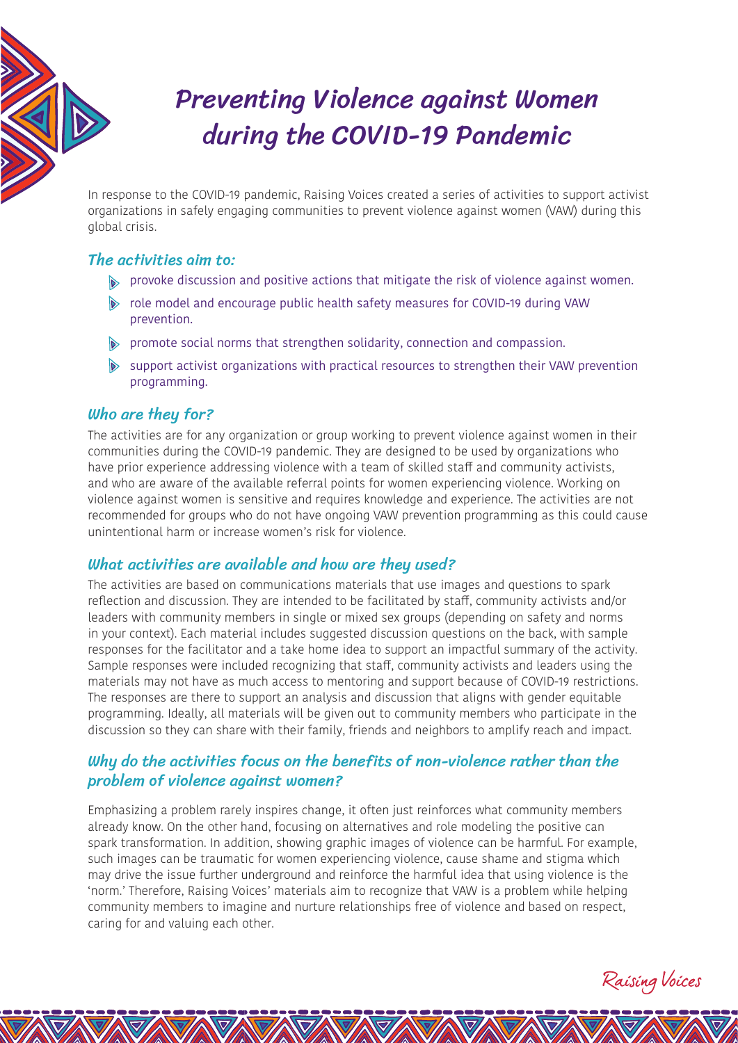

# Preventing Violence against Women during the COVID-19 Pandemic

In response to the COVID-19 pandemic, Raising Voices created a series of activities to support activist organizations in safely engaging communities to prevent violence against women (VAW) during this global crisis.

## The activities aim to:

- provoke discussion and positive actions that mitigate the risk of violence against women.
- role model and encourage public health safety measures for COVID-19 during VAW prevention.
- promote social norms that strengthen solidarity, connection and compassion.
- $\bullet$  support activist organizations with practical resources to strengthen their VAW prevention programming.

## Who are they for?

The activities are for any organization or group working to prevent violence against women in their communities during the COVID-19 pandemic. They are designed to be used by organizations who have prior experience addressing violence with a team of skilled staff and community activists, and who are aware of the available referral points for women experiencing violence. Working on violence against women is sensitive and requires knowledge and experience. The activities are not recommended for groups who do not have ongoing VAW prevention programming as this could cause unintentional harm or increase women's risk for violence.

## What activities are available and how are they used?

The activities are based on communications materials that use images and questions to spark reflection and discussion. They are intended to be facilitated by staff, community activists and/or leaders with community members in single or mixed sex groups (depending on safety and norms in your context). Each material includes suggested discussion questions on the back, with sample responses for the facilitator and a take home idea to support an impactful summary of the activity. Sample responses were included recognizing that staff, community activists and leaders using the materials may not have as much access to mentoring and support because of COVID-19 restrictions. The responses are there to support an analysis and discussion that aligns with gender equitable programming. Ideally, all materials will be given out to community members who participate in the discussion so they can share with their family, friends and neighbors to amplify reach and impact.

## Why do the activities focus on the benefits of non-violence rather than the problem of violence against women?

Emphasizing a problem rarely inspires change, it often just reinforces what community members already know. On the other hand, focusing on alternatives and role modeling the positive can spark transformation. In addition, showing graphic images of violence can be harmful. For example, such images can be traumatic for women experiencing violence, cause shame and stigma which may drive the issue further underground and reinforce the harmful idea that using violence is the 'norm.' Therefore, Raising Voices' materials aim to recognize that VAW is a problem while helping community members to imagine and nurture relationships free of violence and based on respect, caring for and valuing each other.

Raising Voices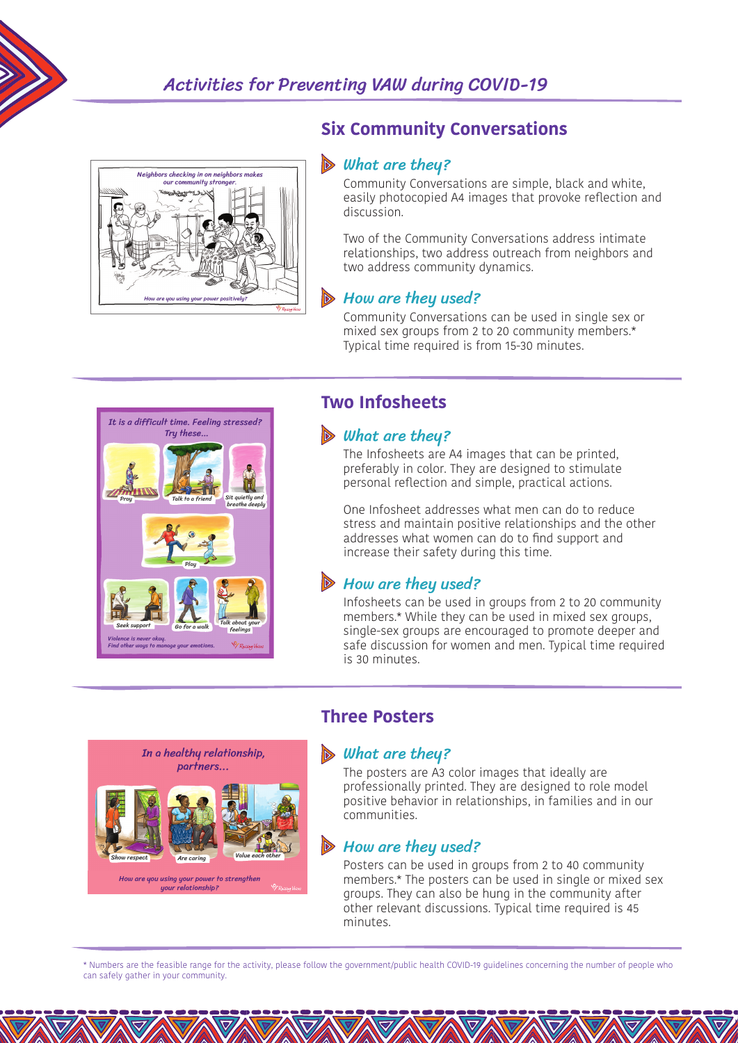



## **Six Community Conversations**

#### $\triangleright$  What are they?

Community Conversations are simple, black and white, easily photocopied A4 images that provoke reflection and discussion.

Two of the Community Conversations address intimate relationships, two address outreach from neighbors and two address community dynamics.

## **B** How are they used?

Community Conversations can be used in single sex or mixed sex groups from 2 to 20 community members.\* Typical time required is from 15-30 minutes.



## **Two Infosheets**

#### $\triangleright$  What are they?

The Infosheets are A4 images that can be printed, preferably in color. They are designed to stimulate personal reflection and simple, practical actions.

One Infosheet addresses what men can do to reduce stress and maintain positive relationships and the other addresses what women can do to find support and increase their safety during this time.

## $\triangleright$  How are they used?

Infosheets can be used in groups from 2 to 20 community members.\* While they can be used in mixed sex groups, single-sex groups are encouraged to promote deeper and safe discussion for women and men. Typical time required is 30 minutes.

## In a healthy relationship, partners... Are caring **Value** How are you using your power to strengthen

uour relationship?

## **Three Posters**

## $\triangleright$  What are they?

The posters are A3 color images that ideally are professionally printed. They are designed to role model positive behavior in relationships, in families and in our communities.

## $\triangleright$  How are they used?

Posters can be used in groups from 2 to 40 community members.\* The posters can be used in single or mixed sex groups. They can also be hung in the community after other relevant discussions. Typical time required is 45 minutes.

\* Numbers are the feasible range for the activity, please follow the government/public health COVID-19 guidelines concerning the number of people who can safely gather in your community